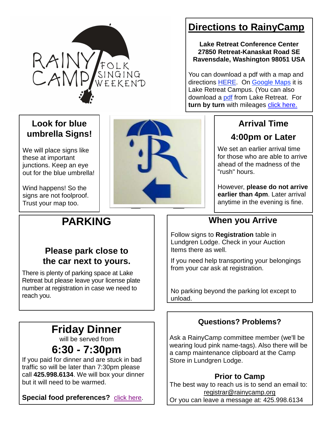

## **Directions to RainyCamp**

**Lake Retreat Conference Center 27850 Retreat-Kanaskat Road SE Ravensdale, Washington 98051 USA**

You can download a pdf with a map and directions HERE. On Google Maps it is Lake Retreat Campus. (You can also download a pdf from Lake Retreat. For **turn by turn** with mileages click here.

### **Look for blue umbrella Signs!**

We will place signs like these at important junctions. Keep an eye out for the blue umbrella!

Wind happens! So the signs are not foolproof. Trust your map too.

# **PARKING**



## **Arrival Time 4:00pm or Later**

We set an earlier arrival time for those who are able to arrive ahead of the madness of the "rush" hours.

However, **please do not arrive earlier than 4pm**. Later arrival anytime in the evening is fine.

### **When you Arrive**

Follow signs to **Registration** table in Lundgren Lodge. Check in your Auction Items there as well.

If you need help transporting your belongings from your car ask at registration.

No parking beyond the parking lot except to unload.

### **Questions? Problems?**

Ask a RainyCamp committee member (we'll be wearing loud pink name-tags). Also there will be a camp maintenance clipboard at the Camp Store in Lundgren Lodge.

### **Prior to Camp**

The best way to reach us is to send an email to: registrar@rainycamp.org Or you can leave a message at: 425.998.6134

### **Please park close to the car next to yours.**

There is plenty of parking space at Lake Retreat but please leave your license plate number at registration in case we need to reach you.

# **Friday Dinner**

will be served from

## **6:30 - 7:30pm**

If you paid for dinner and are stuck in bad traffic so will be later than 7:30pm please call **425.998.6134**. We will box your dinner but it will need to be warmed.

**Special food preferences?** click here.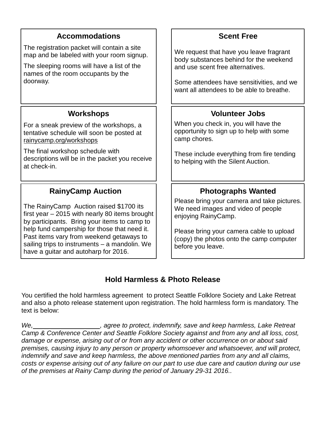| <b>Accommodations</b>                                                                                                                                                             | <b>Scent Free</b>                                                                                         |
|-----------------------------------------------------------------------------------------------------------------------------------------------------------------------------------|-----------------------------------------------------------------------------------------------------------|
| The registration packet will contain a site<br>map and be labeled with your room signup.                                                                                          | We request that have you leave fragrant<br>body substances behind for the weekend                         |
| The sleeping rooms will have a list of the<br>names of the room occupants by the                                                                                                  | and use scent free alternatives.                                                                          |
| doorway.                                                                                                                                                                          | Some attendees have sensitivities, and we<br>want all attendees to be able to breathe.                    |
| <b>Workshops</b>                                                                                                                                                                  | <b>Volunteer Jobs</b>                                                                                     |
| For a sneak preview of the workshops, a<br>tentative schedule will soon be posted at<br>rainycamp.org/workshops                                                                   | When you check in, you will have the<br>opportunity to sign up to help with some<br>camp chores.          |
| The final workshop schedule with<br>descriptions will be in the packet you receive<br>at check-in.                                                                                | These include everything from fire tending<br>to helping with the Silent Auction.                         |
|                                                                                                                                                                                   |                                                                                                           |
| <b>RainyCamp Auction</b>                                                                                                                                                          | <b>Photographs Wanted</b>                                                                                 |
| The RainyCamp Auction raised \$1700 its<br>first year - 2015 with nearly 80 items brought<br>by participants. Bring your items to camp to                                         | Please bring your camera and take pictures.<br>We need images and video of people<br>enjoying RainyCamp.  |
| help fund campership for those that need it.<br>Past items vary from weekend getaways to<br>sailing trips to instruments - a mandolin. We<br>have a guitar and autoharp for 2016. | Please bring your camera cable to upload<br>(copy) the photos onto the camp computer<br>before you leave. |

### **Hold Harmless & Photo Release**

You certified the hold harmless agreement to protect Seattle Folklore Society and Lake Retreat and also a photo release statement upon registration. The hold harmless form is mandatory. The text is below:

We, Messenberry Messenberry and the protect, indemnify, save and keep harmless, Lake Retreat Camp & Conference Center and Seattle Folklore Society against and from any and all loss, cost, damage or expense, arising out of or from any accident or other occurrence on or about said premises, causing injury to any person or property whomsoever and whatsoever, and will protect, indemnify and save and keep harmless, the above mentioned parties from any and all claims, costs or expense arising out of any failure on our part to use due care and caution during our use of the premises at Rainy Camp during the period of January 29-31 2016..